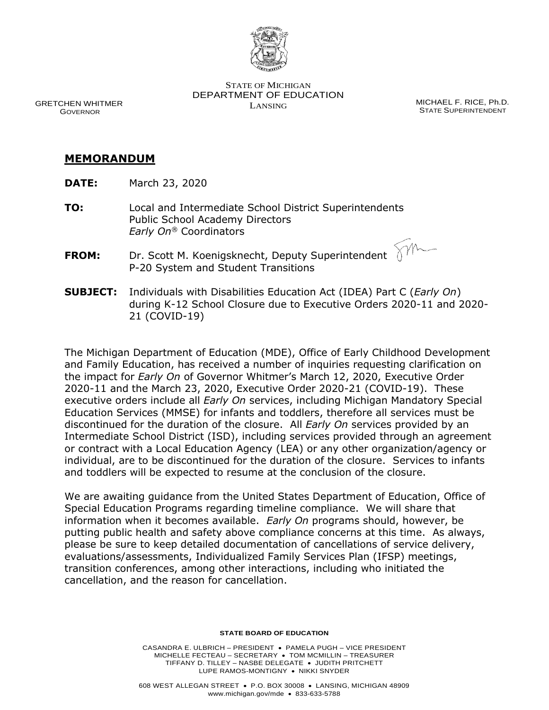

STATE OF MICHIGAN DEPARTMENT OF EDUCATION LANSING MICHAEL F. RICE, Ph.D.

STATE SUPERINTENDENT

## GRETCHEN WHITMER GOVERNOR

## **MEMORANDUM**

- **DATE:** March 23, 2020
- **TO:** Local and Intermediate School District Superintendents Public School Academy Directors *Early On®* Coordinators  $\sqrt{m}$
- **FROM:** Dr. Scott M. Koenigsknecht, Deputy Superintendent P-20 System and Student Transitions
- **SUBJECT:** Individuals with Disabilities Education Act (IDEA) Part C (*Early On*) during K-12 School Closure due to Executive Orders 2020-11 and 2020- 21 (COVID-19)

The Michigan Department of Education (MDE), Office of Early Childhood Development and Family Education, has received a number of inquiries requesting clarification on the impact for *Early On* of Governor Whitmer's March 12, 2020, Executive Order 2020-11 and the March 23, 2020, Executive Order 2020-21 (COVID-19). These executive orders include all *Early On* services, including Michigan Mandatory Special Education Services (MMSE) for infants and toddlers, therefore all services must be discontinued for the duration of the closure. All *Early On* services provided by an Intermediate School District (ISD), including services provided through an agreement or contract with a Local Education Agency (LEA) or any other organization/agency or individual, are to be discontinued for the duration of the closure. Services to infants and toddlers will be expected to resume at the conclusion of the closure.

We are awaiting guidance from the United States Department of Education, Office of Special Education Programs regarding timeline compliance. We will share that information when it becomes available. *Early On* programs should, however, be putting public health and safety above compliance concerns at this time. As always, please be sure to keep detailed documentation of cancellations of service delivery, evaluations/assessments, Individualized Family Services Plan (IFSP) meetings, transition conferences, among other interactions, including who initiated the cancellation, and the reason for cancellation.

## **STATE BOARD OF EDUCATION**

CASANDRA E. ULBRICH – PRESIDENT • PAMELA PUGH – VICE PRESIDENT MICHELLE FECTEAU – SECRETARY • TOM MCMILLIN – TREASURER TIFFANY D. TILLEY – NASBE DELEGATE • JUDITH PRITCHETT LUPE RAMOS-MONTIGNY • NIKKI SNYDER